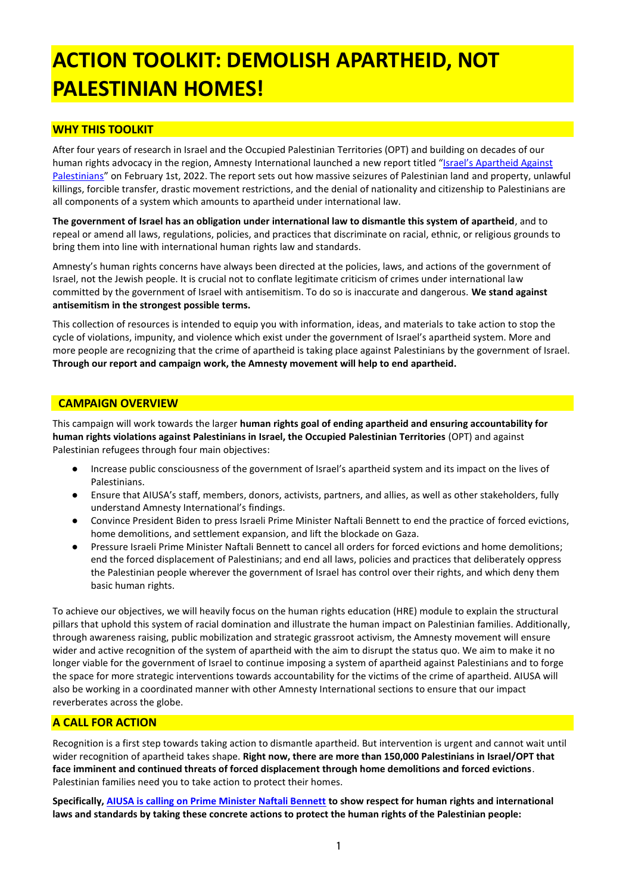# **ACTION TOOLKIT: DEMOLISH APARTHEID, NOT PALESTINIAN HOMES!**

### **WHY THIS TOOLKIT**

After four years of research in Israel and the Occupied Palestinian Territories (OPT) and building on decades of our human rights advocacy in the region, Amnesty International launched a new report titled ["Israel's Apartheid Against](https://www.amnestyusa.org/wp-content/uploads/2022/01/Full-Report.pdf)  [Palestinians](https://www.amnestyusa.org/wp-content/uploads/2022/01/Full-Report.pdf)" on February 1st, 2022. The report sets out how massive seizures of Palestinian land and property, unlawful killings, forcible transfer, drastic movement restrictions, and the denial of nationality and citizenship to Palestinians are all components of a system which amounts to apartheid under international law.

**The government of Israel has an obligation under international law to dismantle this system of apartheid**, and to repeal or amend all laws, regulations, policies, and practices that discriminate on racial, ethnic, or religious grounds to bring them into line with international human rights law and standards.

Amnesty's human rights concerns have always been directed at the policies, laws, and actions of the government of Israel, not the Jewish people. It is crucial not to conflate legitimate criticism of crimes under international law committed by the government of Israel with antisemitism. To do so is inaccurate and dangerous. **We stand against antisemitism in the strongest possible terms.** 

This collection of resources is intended to equip you with information, ideas, and materials to take action to stop the cycle of violations, impunity, and violence which exist under the government of Israel's apartheid system. More and more people are recognizing that the crime of apartheid is taking place against Palestinians by the government of Israel. **Through our report and campaign work, the Amnesty movement will help to end apartheid.**

### **CAMPAIGN OVERVIEW**

This campaign will work towards the larger **human rights goal of ending apartheid and ensuring accountability for human rights violations against Palestinians in Israel, the Occupied Palestinian Territories** (OPT) and against Palestinian refugees through four main objectives:

- Increase public consciousness of the government of Israel's apartheid system and its impact on the lives of Palestinians.
- Ensure that AIUSA's staff, members, donors, activists, partners, and allies, as well as other stakeholders, fully understand Amnesty International's findings.
- Convince President Biden to press Israeli Prime Minister Naftali Bennett to end the practice of forced evictions, home demolitions, and settlement expansion, and lift the blockade on Gaza.
- Pressure Israeli Prime Minister Naftali Bennett to cancel all orders for forced evictions and home demolitions; end the forced displacement of Palestinians; and end all laws, policies and practices that deliberately oppress the Palestinian people wherever the government of Israel has control over their rights, and which deny them basic human rights.

To achieve our objectives, we will heavily focus on the human rights education (HRE) module to explain the structural pillars that uphold this system of racial domination and illustrate the human impact on Palestinian families. Additionally, through awareness raising, public mobilization and strategic grassroot activism, the Amnesty movement will ensure wider and active recognition of the system of apartheid with the aim to disrupt the status quo. We aim to make it no longer viable for the government of Israel to continue imposing a system of apartheid against Palestinians and to forge the space for more strategic interventions towards accountability for the victims of the crime of apartheid. AIUSA will also be working in a coordinated manner with other Amnesty International sections to ensure that our impact reverberates across the globe.

### **A CALL FOR ACTION**

Recognition is a first step towards taking action to dismantle apartheid. But intervention is urgent and cannot wait until wider recognition of apartheid takes shape. **Right now, there are more than 150,000 Palestinians in Israel/OPT that face imminent and continued threats of forced displacement through home demolitions and forced evictions**. Palestinian families need you to take action to protect their homes.

**Specifically[, AIUSA is calling on Prime Minister Naftali Bennett](https://act.amnestyusa.org/page/98131/action/1?ea.tracking.id=0m6h7ehp) to show respect for human rights and international laws and standards by taking these concrete actions to protect the human rights of the Palestinian people:**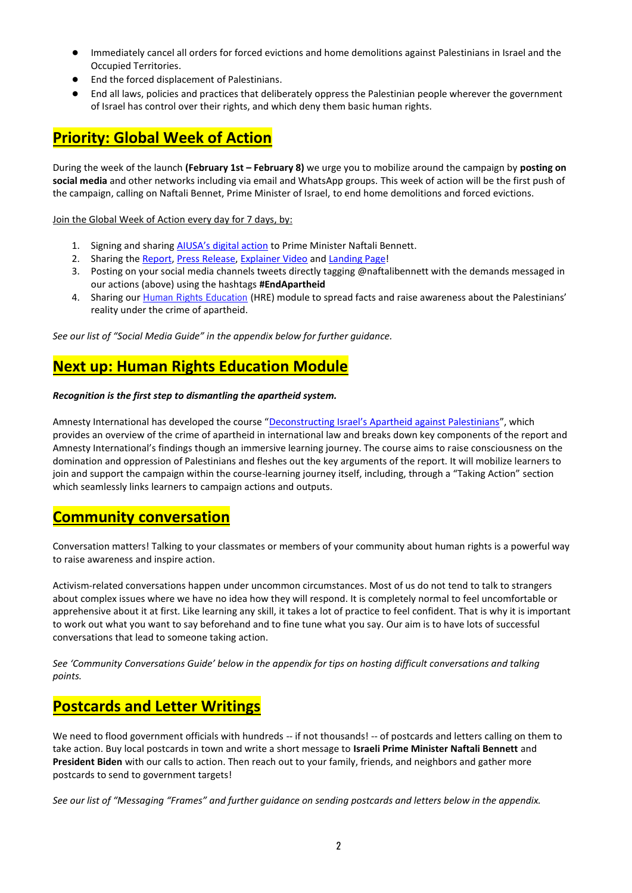- Immediately cancel all orders for forced evictions and home demolitions against Palestinians in Israel and the Occupied Territories.
- End the forced displacement of Palestinians.
- End all laws, policies and practices that deliberately oppress the Palestinian people wherever the government of Israel has control over their rights, and which deny them basic human rights.

# **Priority: Global Week of Action**

During the week of the launch **(February 1st – February 8)** we urge you to mobilize around the campaign by **posting on social media** and other networks including via email and WhatsApp groups. This week of action will be the first push of the campaign, calling on Naftali Bennet, Prime Minister of Israel, to end home demolitions and forced evictions.

Join the Global Week of Action every day for 7 days, by:

- 1. Signing and sharing [AIUSA's digital action](https://act.amnestyusa.org/page/98131/action/1?ea.tracking.id=0m6h7ehp) to Prime Minister Naftali Bennett.
- 2. Sharing the [Report,](https://www.amnestyusa.org/wp-content/uploads/2022/01/Full-Report.pdf) [Press Release,](https://www.amnestyusa.org/reports/new-report-finds-israeli-authorities-are-committing-crime-against-humanity-of-apartheid-against-palestinians-in-israel-and-in-the-occupied-palestinian-territories/) [Explainer Video](https://www.youtube.com/watch?v=AUGICfaULXA) an[d Landing Page!](https://www.amnestyusa.org/endapartheid/)
- 3. Posting on your social media channels tweets directly tagging @naftalibennett with the demands messaged in our actions (above) using the hashtags **#EndApartheid**
- 4. Sharing our [Human Rights Education](https://academy.amnesty.org/learn/course/internal/view/elearning/239/apartheid-course) (HRE) module to spread facts and raise awareness about the Palestinians' reality under the crime of apartheid.

*See our list of "Social Media Guide" in the appendix below for further guidance.* 

# **Next up: Human Rights Education Module**

#### *Recognition is the first step to dismantling the apartheid system.*

Amnesty International has developed the course "Deconstructing [Israel's Apartheid against Palestinians"](https://academy.amnesty.org/learn/course/internal/view/elearning/239/apartheid-course), which provides an overview of the crime of apartheid in international law and breaks down key components of the report and Amnesty International's findings though an immersive learning journey. The course aims to raise consciousness on the domination and oppression of Palestinians and fleshes out the key arguments of the report. It will mobilize learners to join and support the campaign within the course-learning journey itself, including, through a "Taking Action" section which seamlessly links learners to campaign actions and outputs.

# **Community conversation**

Conversation matters! Talking to your classmates or members of your community about human rights is a powerful way to raise awareness and inspire action.

Activism-related conversations happen under uncommon circumstances. Most of us do not tend to talk to strangers about complex issues where we have no idea how they will respond. It is completely normal to feel uncomfortable or apprehensive about it at first. Like learning any skill, it takes a lot of practice to feel confident. That is why it is important to work out what you want to say beforehand and to fine tune what you say. Our aim is to have lots of successful conversations that lead to someone taking action.

*See 'Community Conversations Guide' below in the appendix for tips on hosting difficult conversations and talking points.* 

# **Postcards and Letter Writings**

We need to flood government officials with hundreds -- if not thousands! -- of postcards and letters calling on them to take action. Buy local postcards in town and write a short message to **Israeli Prime Minister Naftali Bennett** and **President Biden** with our calls to action. Then reach out to your family, friends, and neighbors and gather more postcards to send to government targets!

*See our list of "Messaging "Frames" and further guidance on sending postcards and letters below in the appendix.*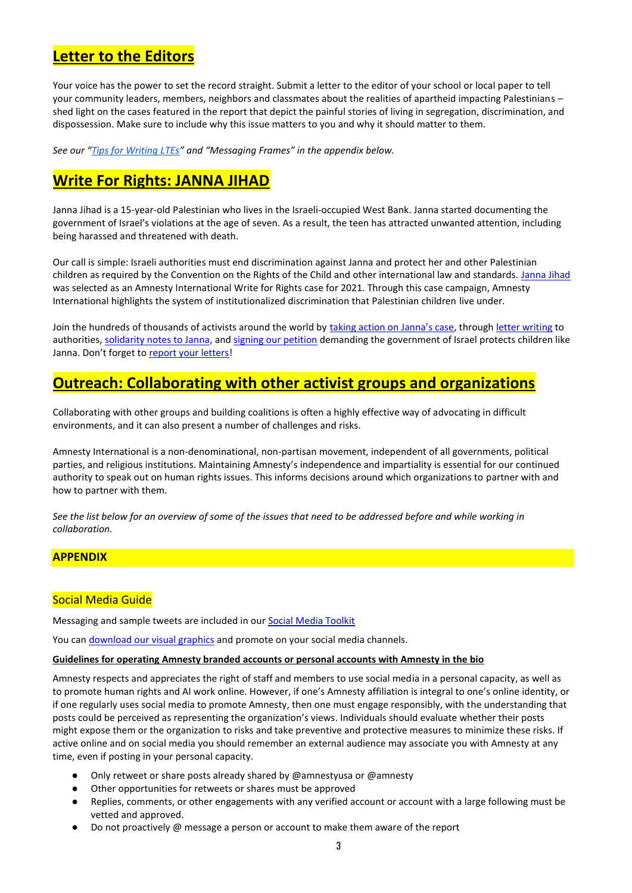# **Letter to the Editors**

Your voice has the power to set the record straight. Submit a letter to the editor of your school or local paper to tell your community leaders, members, neighbors and classmates about the realities of apartheid impacting Palestinians – shed light on the cases featured in the report that depict the painful stories of living in segregation, discrimination, and dispossession. Make sure to include why this issue matters to you and why it should matter to them.

*See our "[Tips for Writing LTEs](https://www.amnestyusa.org/wp-content/uploads/2019/08/Guide-for-Writing-Op-Eds-and-LTEs-.pdf)" and "Messaging Frames" in the appendix below.*

# **Write For Rights: JANNA JIHAD**

Janna Jihad is a 15-year-old Palestinian who lives in the Israeli-occupied West Bank. Janna started documenting the government of Israel's violations at the age of seven. As a result, the teen has attracted unwanted attention, including being harassed and threatened with death.

Our call is simple: Israeli authorities must end discrimination against Janna and protect her and other Palestinian children as required by the Convention on the Rights of the Child and other international law and standards. [Janna Jihad](https://write.amnestyusa.org/wp-content/uploads/2021/10/OPT-Janna-Jihad-Case-Sheet.pdf) was selected as an Amnesty International Write for Rights case for 2021. Through this case campaign, Amnesty International highlights the system of institutionalized discrimination that Palestinian children live under.

Join the hundreds of thousands of activists around the world by [taking action on Janna's case](https://write.amnestyusa.org/cases/janna-jihad/), throug[h letter writing](https://view.officeapps.live.com/op/view.aspx?src=https%3A%2F%2Fwrite.amnestyusa.org%2Fwp-content%2Fuploads%2F2021%2F10%2FOPT-Janna-Jihad-Letter-to-Target.docx&wdOrigin=BROWSELINK) to authorities[, solidarity notes to Janna,](https://write.amnestyusa.org/wp-content/uploads/2021/10/OPT-Janna-Jihad-Case-Sheet.pdf) and [signing our petition](https://act.amnestyusa.org/page/92294/action/1?ea.tracking.id=spgcowst&supporter.appealCode=W21XXWAW4R0&en_og_source=W21XXWAW4R0) demanding the government of Israel protects children like Janna. Don't forget to [report your letters!](https://write.amnestyusa.org/impact/)

# **Outreach: Collaborating with other activist groups and organizations**

Collaborating with other groups and building coalitions is often a highly effective way of advocating in difficult environments, and it can also present a number of challenges and risks.

Amnesty International is a non-denominational, non-partisan movement, independent of all governments, political parties, and religious institutions. Maintaining Amnesty's independence and impartiality is essential for our continued authority to speak out on human rights issues. This informs decisions around which organizations to partner with and how to partner with them.

*See the list below for an overview of some of the issues that need to be addressed before and while working in collaboration.*

#### **APPENDIX**

### Social Media Guide

Messaging and sample tweets are included in ou[r Social Media Toolkit](https://docs.google.com/document/d/1OyJU5V_RWKlK_ARCy6VDlru4xCdOMXAkO6aI8aHFdJQ/edit)

You can [download our visual graphics](https://amnesty.bynder.com/share/240493FE-FD34-47C0-AB42EC077586F8FC/) and promote on your social media channels.

#### **Guidelines for operating Amnesty branded accounts or personal accounts with Amnesty in the bio**

Amnesty respects and appreciates the right of staff and members to use social media in a personal capacity, as well as to promote human rights and AI work online. However, if one's Amnesty affiliation is integral to one's online identity, or if one regularly uses social media to promote Amnesty, then one must engage responsibly, with the understanding that posts could be perceived as representing the organization's views. Individuals should evaluate whether their posts might expose them or the organization to risks and take preventive and protective measures to minimize these risks. If active online and on social media you should remember an external audience may associate you with Amnesty at any time, even if posting in your personal capacity.

- Only retweet or share posts already shared by @amnestyusa or @amnesty
- Other opportunities for retweets or shares must be approved
- Replies, comments, or other engagements with any verified account or account with a large following must be vetted and approved.
- Do not proactively @ message a person or account to make them aware of the report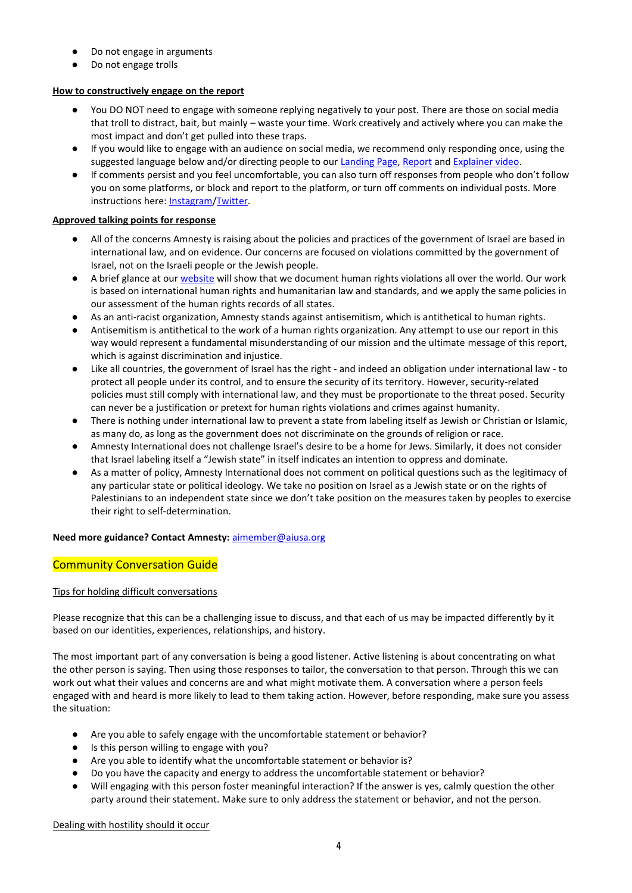- Do not engage in arguments
- Do not engage trolls

# **How to constructively engage on the report**

- You DO NOT need to engage with someone replying negatively to your post. There are those on social media that troll to distract, bait, but mainly – waste your time. Work creatively and actively where you can make the most impact and don't get pulled into these traps.
- If you would like to engage with an audience on social media, we recommend only responding once, using the suggested language below and/or directing people to our [Landing Page,](https://www.amnestyusa.org/endapartheid/) [Report](https://www.amnestyusa.org/wp-content/uploads/2022/01/Full-Report.pdf) and [Explainer video.](https://www.youtube.com/watch?v=AUGICfaULXA)
- If comments persist and you feel uncomfortable, you can also turn off responses from people who don't follow you on some platforms, or block and report to the platform, or turn off comments on individual posts. More instructions here[: Instagram](https://www.facebook.com/help/instagram/1766818986917552)[/Twitter.](https://help.twitter.com/en/using-twitter/twitter-conversations)

# **Approved talking points for response**

- All of the concerns Amnesty is raising about the policies and practices of the government of Israel are based in international law, and on evidence. Our concerns are focused on violations committed by the government of Israel, not on the Israeli people or the Jewish people.
- A brief glance at our [website](https://www.amnestyusa.org/) will show that we document human rights violations all over the world. Our work is based on international human rights and humanitarian law and standards, and we apply the same policies in our assessment of the human rights records of all states.
- As an anti-racist organization, Amnesty stands against antisemitism, which is antithetical to human rights.
- Antisemitism is antithetical to the work of a human rights organization. Any attempt to use our report in this way would represent a fundamental misunderstanding of our mission and the ultimate message of this report, which is against discrimination and injustice.
- Like all countries, the government of Israel has the right and indeed an obligation under international law to protect all people under its control, and to ensure the security of its territory. However, security-related policies must still comply with international law, and they must be proportionate to the threat posed. Security can never be a justification or pretext for human rights violations and crimes against humanity.
- There is nothing under international law to prevent a state from labeling itself as Jewish or Christian or Islamic, as many do, as long as the government does not discriminate on the grounds of religion or race.
- Amnesty International does not challenge Israel's desire to be a home for Jews. Similarly, it does not consider that Israel labeling itself a "Jewish state" in itself indicates an intention to oppress and dominate.
- As a matter of policy, Amnesty International does not comment on political questions such as the legitimacy of any particular state or political ideology. We take no position on Israel as a Jewish state or on the rights of Palestinians to an independent state since we don't take position on the measures taken by peoples to exercise their right to self-determination.

# **Need more guidance? Contact Amnesty:** [aimember@aiusa.org](mailto:aimember@aiusa.org)

# Community Conversation Guide

# Tips for holding difficult conversations

Please recognize that this can be a challenging issue to discuss, and that each of us may be impacted differently by it based on our identities, experiences, relationships, and history.

The most important part of any conversation is being a good listener. Active listening is about concentrating on what the other person is saying. Then using those responses to tailor, the conversation to that person. Through this we can work out what their values and concerns are and what might motivate them. A conversation where a person feels engaged with and heard is more likely to lead to them taking action. However, before responding, make sure you assess the situation:

- Are you able to safely engage with the uncomfortable statement or behavior?
- Is this person willing to engage with you?
- Are you able to identify what the uncomfortable statement or behavior is?
- Do you have the capacity and energy to address the uncomfortable statement or behavior?
- Will engaging with this person foster meaningful interaction? If the answer is yes, calmly question the other party around their statement. Make sure to only address the statement or behavior, and not the person.

Dealing with hostility should it occur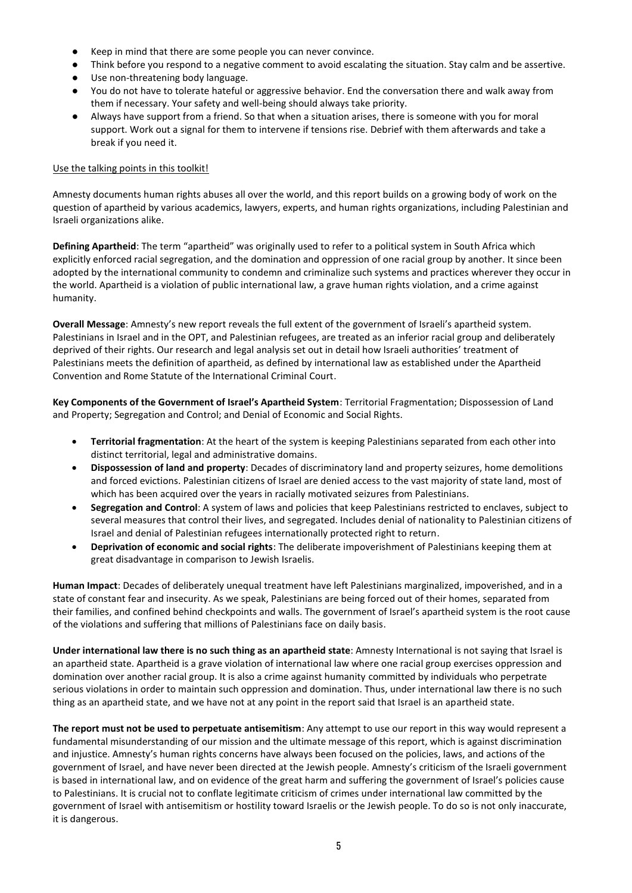- Keep in mind that there are some people you can never convince.
- Think before you respond to a negative comment to avoid escalating the situation. Stay calm and be assertive.
- Use non-threatening body language.
- You do not have to tolerate hateful or aggressive behavior. End the conversation there and walk away from them if necessary. Your safety and well-being should always take priority.
- Always have support from a friend. So that when a situation arises, there is someone with you for moral support. Work out a signal for them to intervene if tensions rise. Debrief with them afterwards and take a break if you need it.

#### Use the talking points in this toolkit!

Amnesty documents human rights abuses all over the world, and this report builds on a growing body of work on the question of apartheid by various academics, lawyers, experts, and human rights organizations, including Palestinian and Israeli organizations alike.

**Defining Apartheid**: The term "apartheid" was originally used to refer to a political system in South Africa which explicitly enforced racial segregation, and the domination and oppression of one racial group by another. It since been adopted by the international community to condemn and criminalize such systems and practices wherever they occur in the world. Apartheid is a violation of public international law, a grave human rights violation, and a crime against humanity.

**Overall Message**: Amnesty's new report reveals the full extent of the government of Israeli's apartheid system. Palestinians in Israel and in the OPT, and Palestinian refugees, are treated as an inferior racial group and deliberately deprived of their rights. Our research and legal analysis set out in detail how Israeli authorities' treatment of Palestinians meets the definition of apartheid, as defined by international law as established under the Apartheid Convention and Rome Statute of the International Criminal Court.

**Key Components of the Government of Israel's Apartheid System**: Territorial Fragmentation; Dispossession of Land and Property; Segregation and Control; and Denial of Economic and Social Rights.

- **Territorial fragmentation**: At the heart of the system is keeping Palestinians separated from each other into distinct territorial, legal and administrative domains.
- **Dispossession of land and property**: Decades of discriminatory land and property seizures, home demolitions and forced evictions. Palestinian citizens of Israel are denied access to the vast majority of state land, most of which has been acquired over the years in racially motivated seizures from Palestinians.
- **Segregation and Control**: A system of laws and policies that keep Palestinians restricted to enclaves, subject to several measures that control their lives, and segregated. Includes denial of nationality to Palestinian citizens of Israel and denial of Palestinian refugees internationally protected right to return.
- **Deprivation of economic and social rights**: The deliberate impoverishment of Palestinians keeping them at great disadvantage in comparison to Jewish Israelis.

**Human Impact**: Decades of deliberately unequal treatment have left Palestinians marginalized, impoverished, and in a state of constant fear and insecurity. As we speak, Palestinians are being forced out of their homes, separated from their families, and confined behind checkpoints and walls. The government of Israel's apartheid system is the root cause of the violations and suffering that millions of Palestinians face on daily basis.

**Under international law there is no such thing as an apartheid state**: Amnesty International is not saying that Israel is an apartheid state. Apartheid is a grave violation of international law where one racial group exercises oppression and domination over another racial group. It is also a crime against humanity committed by individuals who perpetrate serious violations in order to maintain such oppression and domination. Thus, under international law there is no such thing as an apartheid state, and we have not at any point in the report said that Israel is an apartheid state.

**The report must not be used to perpetuate antisemitism**: Any attempt to use our report in this way would represent a fundamental misunderstanding of our mission and the ultimate message of this report, which is against discrimination and injustice. Amnesty's human rights concerns have always been focused on the policies, laws, and actions of the government of Israel, and have never been directed at the Jewish people. Amnesty's criticism of the Israeli government is based in international law, and on evidence of the great harm and suffering the government of Israel's policies cause to Palestinians. It is crucial not to conflate legitimate criticism of crimes under international law committed by the government of Israel with antisemitism or hostility toward Israelis or the Jewish people. To do so is not only inaccurate, it is dangerous.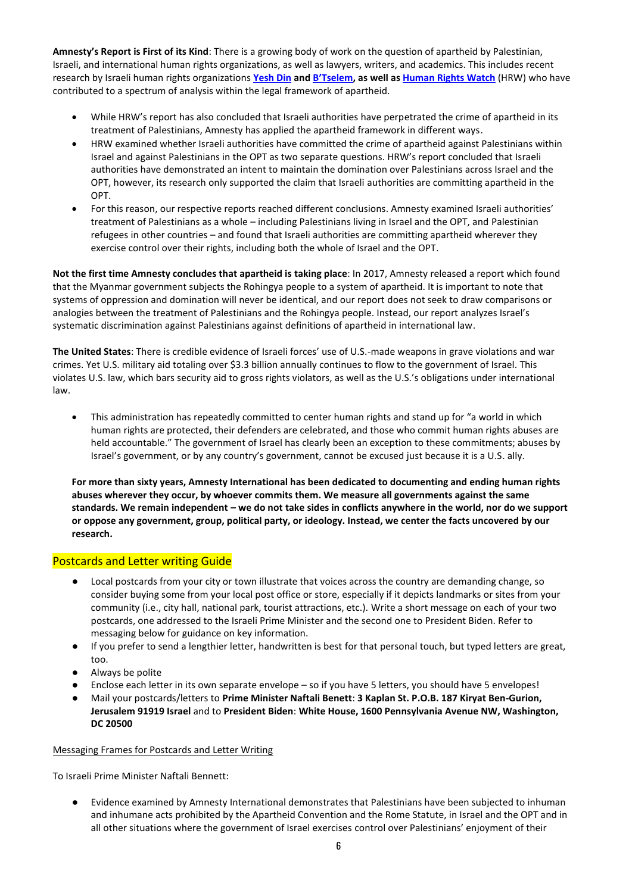**Amnesty's Report is First of its Kind**: There is a growing body of work on the question of apartheid by Palestinian, Israeli, and international human rights organizations, as well as lawyers, writers, and academics. This includes recent research by Israeli human rights organizations **[Yesh Din](https://www.yesh-din.org/en/the-occupation-of-the-west-bank-and-the-crime-of-apartheid-legal-opinion/) and [B'Tselem](https://www.btselem.org/topic/apartheid), as well a[s Human Rights](https://www.hrw.org/report/2021/04/27/threshold-crossed/israeli-authorities-and-crimes-apartheid-and-persecution) Watch** (HRW) who have contributed to a spectrum of analysis within the legal framework of apartheid.

- While HRW's report has also concluded that Israeli authorities have perpetrated the crime of apartheid in its treatment of Palestinians, Amnesty has applied the apartheid framework in different ways.
- HRW examined whether Israeli authorities have committed the crime of apartheid against Palestinians within Israel and against Palestinians in the OPT as two separate questions. HRW's report concluded that Israeli authorities have demonstrated an intent to maintain the domination over Palestinians across Israel and the OPT, however, its research only supported the claim that Israeli authorities are committing apartheid in the OPT.
- For this reason, our respective reports reached different conclusions. Amnesty examined Israeli authorities' treatment of Palestinians as a whole – including Palestinians living in Israel and the OPT, and Palestinian refugees in other countries – and found that Israeli authorities are committing apartheid wherever they exercise control over their rights, including both the whole of Israel and the OPT.

**Not the first time Amnesty concludes that apartheid is taking place**: In 2017, Amnesty released a report which found that the Myanmar government subjects the Rohingya people to a system of apartheid. It is important to note that systems of oppression and domination will never be identical, and our report does not seek to draw comparisons or analogies between the treatment of Palestinians and the Rohingya people. Instead, our report analyzes Israel's systematic discrimination against Palestinians against definitions of apartheid in international law.

**The United States**: There is credible evidence of Israeli forces' use of U.S.-made weapons in grave violations and war crimes. Yet U.S. military aid totaling over \$3.3 billion annually continues to flow to the government of Israel. This violates U.S. law, which bars security aid to gross rights violators, as well as the U.S.'s obligations under international law.

• This administration has repeatedly committed to center human rights and stand up for "a world in which human rights are protected, their defenders are celebrated, and those who commit human rights abuses are held accountable." The government of Israel has clearly been an exception to these commitments; abuses by Israel's government, or by any country's government, cannot be excused just because it is a U.S. ally.

**For more than sixty years, Amnesty International has been dedicated to documenting and ending human rights abuses wherever they occur, by whoever commits them. We measure all governments against the same standards. We remain independent – we do not take sides in conflicts anywhere in the world, nor do we support or oppose any government, group, political party, or ideology. Instead, we center the facts uncovered by our research.**

### Postcards and Letter writing Guide

- Local postcards from your city or town illustrate that voices across the country are demanding change, so consider buying some from your local post office or store, especially if it depicts landmarks or sites from your community (i.e., city hall, national park, tourist attractions, etc.). Write a short message on each of your two postcards, one addressed to the Israeli Prime Minister and the second one to President Biden. Refer to messaging below for guidance on key information.
- If you prefer to send a lengthier letter, handwritten is best for that personal touch, but typed letters are great, too.
- Always be polite
- Enclose each letter in its own separate envelope so if you have 5 letters, you should have 5 envelopes!
- Mail your postcards/letters to **Prime Minister Naftali Benett**: **3 Kaplan St. P.O.B. 187 Kiryat Ben-Gurion, Jerusalem 91919 Israel** and to **President Biden**: **White House, 1600 Pennsylvania Avenue NW, Washington, DC 20500**

#### Messaging Frames for Postcards and Letter Writing

To Israeli Prime Minister Naftali Bennett:

● Evidence examined by Amnesty International demonstrates that Palestinians have been subjected to inhuman and inhumane acts prohibited by the Apartheid Convention and the Rome Statute, in Israel and the OPT and in all other situations where the government of Israel exercises control over Palestinians' enjoyment of their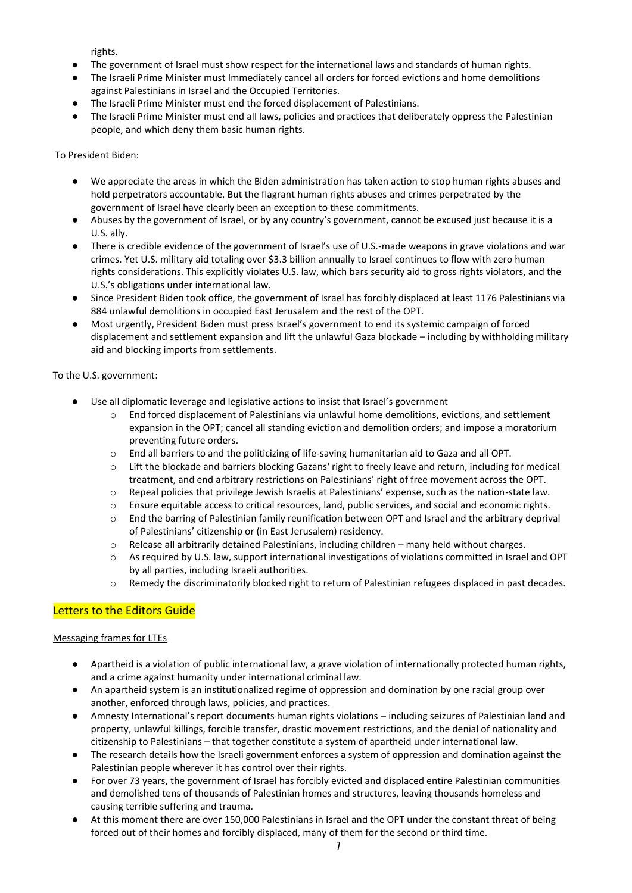rights.

- The government of Israel must show respect for the international laws and standards of human rights.
- The Israeli Prime Minister must Immediately cancel all orders for forced evictions and home demolitions against Palestinians in Israel and the Occupied Territories.
- The Israeli Prime Minister must end the forced displacement of Palestinians.
- The Israeli Prime Minister must end all laws, policies and practices that deliberately oppress the Palestinian people, and which deny them basic human rights.

To President Biden:

- We appreciate the areas in which the Biden administration has taken action to stop human rights abuses and hold perpetrators accountable. But the flagrant human rights abuses and crimes perpetrated by the government of Israel have clearly been an exception to these commitments.
- Abuses by the government of Israel, or by any country's government, cannot be excused just because it is a U.S. ally.
- There is credible evidence of the government of Israel's use of U.S.-made weapons in grave violations and war crimes. Yet U.S. military aid totaling over \$3.3 billion annually to Israel continues to flow with zero human rights considerations. This explicitly violates U.S. law, which bars security aid to gross rights violators, and the U.S.'s obligations under international law.
- Since President Biden took office, the government of Israel has forcibly displaced at least 1176 Palestinians via 884 unlawful demolitions in occupied East Jerusalem and the rest of the OPT.
- Most urgently, President Biden must press Israel's government to end its systemic campaign of forced displacement and settlement expansion and lift the unlawful Gaza blockade – including by withholding military aid and blocking imports from settlements.

To the U.S. government:

- Use all diplomatic leverage and legislative actions to insist that Israel's government
	- End forced displacement of Palestinians via unlawful home demolitions, evictions, and settlement expansion in the OPT; cancel all standing eviction and demolition orders; and impose a moratorium preventing future orders.
	- o End all barriers to and the politicizing of life-saving humanitarian aid to Gaza and all OPT.
	- o Lift the blockade and barriers blocking Gazans' right to freely leave and return, including for medical treatment, and end arbitrary restrictions on Palestinians' right of free movement across the OPT.
	- o Repeal policies that privilege Jewish Israelis at Palestinians' expense, such as the nation-state law.
	- o Ensure equitable access to critical resources, land, public services, and social and economic rights.
	- o End the barring of Palestinian family reunification between OPT and Israel and the arbitrary deprival of Palestinians' citizenship or (in East Jerusalem) residency.
	- $\circ$  Release all arbitrarily detained Palestinians, including children many held without charges.
	- o As required by U.S. law, support international investigations of violations committed in Israel and OPT by all parties, including Israeli authorities.
	- o Remedy the discriminatorily blocked right to return of Palestinian refugees displaced in past decades.

### Letters to the Editors Guide

#### Messaging frames for LTEs

- Apartheid is a violation of public international law, a grave violation of internationally protected human rights, and a crime against humanity under international criminal law.
- An apartheid system is an institutionalized regime of oppression and domination by one racial group over another, enforced through laws, policies, and practices.
- Amnesty International's report documents human rights violations including seizures of Palestinian land and property, unlawful killings, forcible transfer, drastic movement restrictions, and the denial of nationality and citizenship to Palestinians – that together constitute a system of apartheid under international law.
- The research details how the Israeli government enforces a system of oppression and domination against the Palestinian people wherever it has control over their rights.
- For over 73 years, the government of Israel has forcibly evicted and displaced entire Palestinian communities and demolished tens of thousands of Palestinian homes and structures, leaving thousands homeless and causing terrible suffering and trauma.
- At this moment there are over 150,000 Palestinians in Israel and the OPT under the constant threat of being forced out of their homes and forcibly displaced, many of them for the second or third time.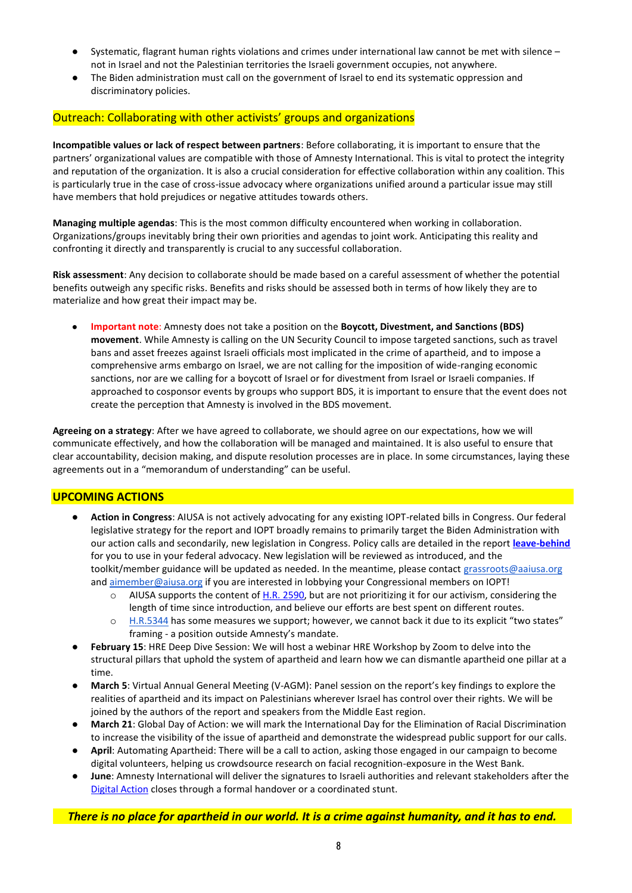- Systematic, flagrant human rights violations and crimes under international law cannot be met with silence not in Israel and not the Palestinian territories the Israeli government occupies, not anywhere.
- The Biden administration must call on the government of Israel to end its systematic oppression and discriminatory policies.

#### Outreach: Collaborating with other activists' groups and organizations

**Incompatible values or lack of respect between partners**: Before collaborating, it is important to ensure that the partners' organizational values are compatible with those of Amnesty International. This is vital to protect the integrity and reputation of the organization. It is also a crucial consideration for effective collaboration within any coalition. This is particularly true in the case of cross-issue advocacy where organizations unified around a particular issue may still have members that hold prejudices or negative attitudes towards others.

**Managing multiple agendas**: This is the most common difficulty encountered when working in collaboration. Organizations/groups inevitably bring their own priorities and agendas to joint work. Anticipating this reality and confronting it directly and transparently is crucial to any successful collaboration.

**Risk assessment**: Any decision to collaborate should be made based on a careful assessment of whether the potential benefits outweigh any specific risks. Benefits and risks should be assessed both in terms of how likely they are to materialize and how great their impact may be.

● **Important note**: Amnesty does not take a position on the **Boycott, Divestment, and Sanctions (BDS) movement**. While Amnesty is calling on the UN Security Council to impose targeted sanctions, such as travel bans and asset freezes against Israeli officials most implicated in the crime of apartheid, and to impose a comprehensive arms embargo on Israel, we are not calling for the imposition of wide-ranging economic sanctions, nor are we calling for a boycott of Israel or for divestment from Israel or Israeli companies. If approached to cosponsor events by groups who support BDS, it is important to ensure that the event does not create the perception that Amnesty is involved in the BDS movement.

**Agreeing on a strategy**: After we have agreed to collaborate, we should agree on our expectations, how we will communicate effectively, and how the collaboration will be managed and maintained. It is also useful to ensure that clear accountability, decision making, and dispute resolution processes are in place. In some circumstances, laying these agreements out in a "memorandum of understanding" can be useful.

#### **UPCOMING ACTIONS**

- **Action in Congress**: AIUSA is not actively advocating for any existing IOPT-related bills in Congress. Our federal legislative strategy for the report and IOPT broadly remains to primarily target the Biden Administration with our action calls and secondarily, new legislation in Congress. Policy calls are detailed in the report **[leave-behind](https://www.amnestyusa.org/wp-content/uploads/2022/01/Report-Leave-Behind.pdf)** for you to use in your federal advocacy. New legislation will be reviewed as introduced, and the toolkit/member guidance will be updated as needed. In the meantime, please contact [grassroots@aaiusa.org](mailto:grassroots@aaiusa.org) an[d aimember@aiusa.org](mailto:aimember@aiusa.org) if you are interested in lobbying your Congressional members on IOPT!
	- $\circ$  AIUSA supports the content o[f H.R. 2590,](https://www.congress.gov/bill/117th-congress/house-bill/2590/) but are not prioritizing it for our activism, considering the length of time since introduction, and believe our efforts are best spent on different routes.
	- o [H.R.5344](https://www.congress.gov/bill/117th-congress/house-bill/5344) has some measures we support; however, we cannot back it due to its explicit "two states" framing - a position outside Amnesty's mandate.
- February 15: HRE Deep Dive Session: We will host a webinar HRE Workshop by Zoom to delve into the structural pillars that uphold the system of apartheid and learn how we can dismantle apartheid one pillar at a time.
- **March 5**: Virtual Annual General Meeting (V-AGM): Panel session on the report's key findings to explore the realities of apartheid and its impact on Palestinians wherever Israel has control over their rights. We will be joined by the authors of the report and speakers from the Middle East region.
- **March 21**: Global Day of Action: we will mark the International Day for the Elimination of Racial Discrimination to increase the visibility of the issue of apartheid and demonstrate the widespread public support for our calls.
- April: Automating Apartheid: There will be a call to action, asking those engaged in our campaign to become digital volunteers, helping us crowdsource research on facial recognition-exposure in the West Bank.
- June: Amnesty International will deliver the signatures to Israeli authorities and relevant stakeholders after the [Digital Action](https://act.amnestyusa.org/page/98131/action/1?ea.tracking.id=0m6h7ehp) closes through a formal handover or a coordinated stunt.

*There is no place for apartheid in our world. It is a crime against humanity, and it has to end.*